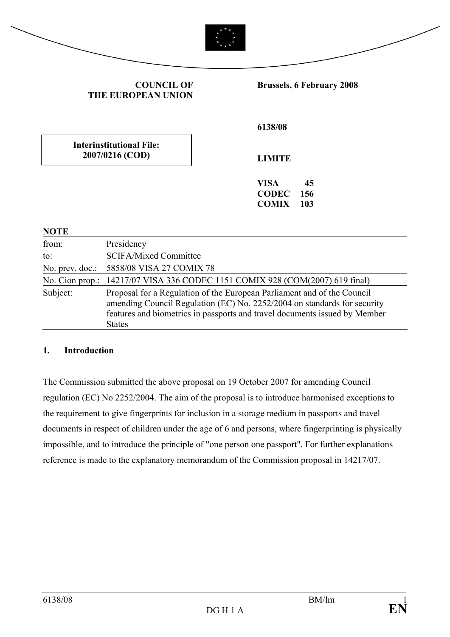|                                                    | <b>COUNCIL OF</b><br><b>THE EUROPEAN UNION</b>                                                                                                                                                                                    |  |                                             | <b>Brussels, 6 February 2008</b> |
|----------------------------------------------------|-----------------------------------------------------------------------------------------------------------------------------------------------------------------------------------------------------------------------------------|--|---------------------------------------------|----------------------------------|
|                                                    |                                                                                                                                                                                                                                   |  | 6138/08                                     |                                  |
| <b>Interinstitutional File:</b><br>2007/0216 (COD) |                                                                                                                                                                                                                                   |  | <b>LIMITE</b>                               |                                  |
|                                                    |                                                                                                                                                                                                                                   |  | <b>VISA</b><br><b>CODEC</b><br><b>COMIX</b> | 45<br>156<br>103                 |
| <b>NOTE</b>                                        |                                                                                                                                                                                                                                   |  |                                             |                                  |
| from:                                              | Presidency                                                                                                                                                                                                                        |  |                                             |                                  |
| to:                                                | <b>SCIFA/Mixed Committee</b>                                                                                                                                                                                                      |  |                                             |                                  |
| No. prev. doc.:                                    | 5858/08 VISA 27 COMIX 78                                                                                                                                                                                                          |  |                                             |                                  |
|                                                    | No. Cion prop.: 14217/07 VISA 336 CODEC 1151 COMIX 928 (COM(2007) 619 final)                                                                                                                                                      |  |                                             |                                  |
| Subject:                                           | Proposal for a Regulation of the European Parliament and of the Council<br>amending Council Regulation (EC) No. 2252/2004 on standards for security<br>features and biometrics in passports and travel documents issued by Member |  |                                             |                                  |

### **1. Introduction**

States

The Commission submitted the above proposal on 19 October 2007 for amending Council regulation (EC) No 2252/2004. The aim of the proposal is to introduce harmonised exceptions to the requirement to give fingerprints for inclusion in a storage medium in passports and travel documents in respect of children under the age of 6 and persons, where fingerprinting is physically impossible, and to introduce the principle of "one person one passport". For further explanations reference is made to the explanatory memorandum of the Commission proposal in 14217/07.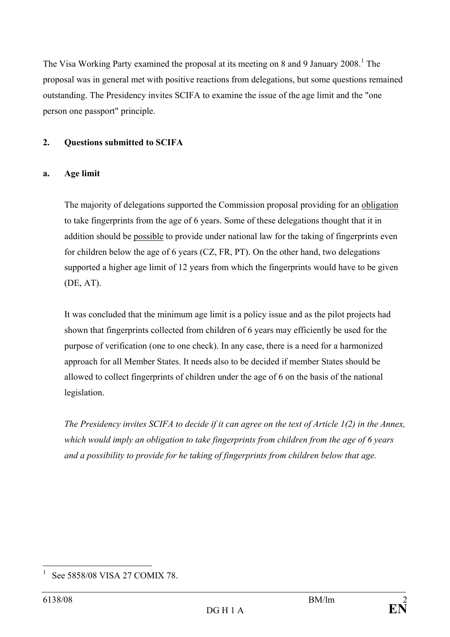The Visa Working Party examined the proposal at its meeting on 8 and 9 January 2008.<sup>1</sup> The proposal was in general met with positive reactions from delegations, but some questions remained outstanding. The Presidency invites SCIFA to examine the issue of the age limit and the "one person one passport" principle.

### **2. Questions submitted to SCIFA**

## **a. Age limit**

The majority of delegations supported the Commission proposal providing for an obligation to take fingerprints from the age of 6 years. Some of these delegations thought that it in addition should be possible to provide under national law for the taking of fingerprints even for children below the age of 6 years (CZ, FR, PT). On the other hand, two delegations supported a higher age limit of 12 years from which the fingerprints would have to be given (DE, AT).

It was concluded that the minimum age limit is a policy issue and as the pilot projects had shown that fingerprints collected from children of 6 years may efficiently be used for the purpose of verification (one to one check). In any case, there is a need for a harmonized approach for all Member States. It needs also to be decided if member States should be allowed to collect fingerprints of children under the age of 6 on the basis of the national legislation.

*The Presidency invites SCIFA to decide if it can agree on the text of Article 1(2) in the Annex, which would imply an obligation to take fingerprints from children from the age of 6 years and a possibility to provide for he taking of fingerprints from children below that age.* 

 $\overline{a}$ 1 See 5858/08 VISA 27 COMIX 78.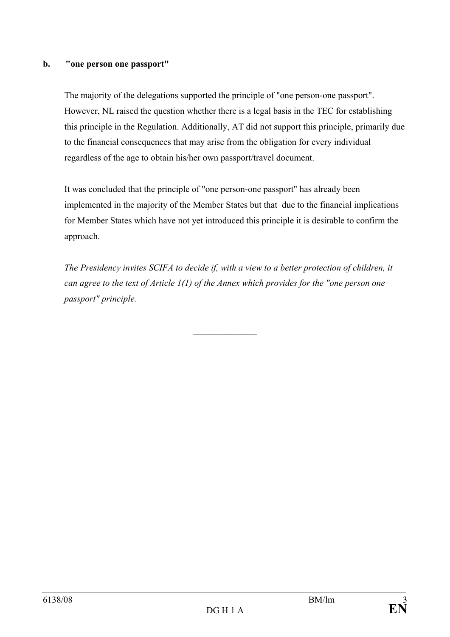### **b. "one person one passport"**

The majority of the delegations supported the principle of "one person-one passport". However, NL raised the question whether there is a legal basis in the TEC for establishing this principle in the Regulation. Additionally, AT did not support this principle, primarily due to the financial consequences that may arise from the obligation for every individual regardless of the age to obtain his/her own passport/travel document.

It was concluded that the principle of "one person-one passport" has already been implemented in the majority of the Member States but that due to the financial implications for Member States which have not yet introduced this principle it is desirable to confirm the approach.

*The Presidency invites SCIFA to decide if, with a view to a better protection of children, it can agree to the text of Article 1(1) of the Annex which provides for the "one person one passport" principle.* 

 $\frac{1}{2}$